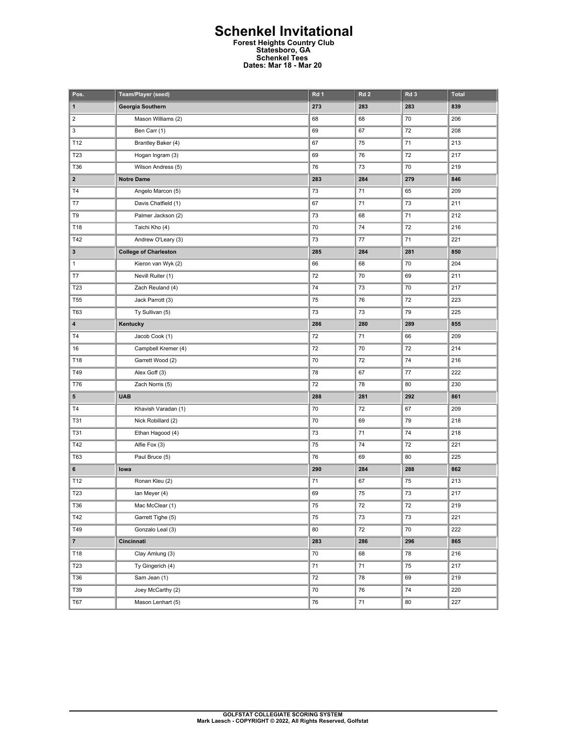## **Schenkel Invitational Forest Heights Country Club Statesboro, GA Schenkel Tees Dates: Mar 18 - Mar 20**

| Pos.            | Team/Player (seed)           | Rd 1 | Rd <sub>2</sub> | Rd <sub>3</sub> | <b>Total</b> |
|-----------------|------------------------------|------|-----------------|-----------------|--------------|
| 1               | Georgia Southern             | 273  | 283             | 283             | 839          |
| $\mathbf 2$     | Mason Williams (2)           | 68   | 68              | 70              | 206          |
| 3               | Ben Carr (1)                 | 69   | 67              | 72              | 208          |
| T12             | Brantley Baker (4)           | 67   | 75              | 71              | 213          |
| T <sub>23</sub> | Hogan Ingram (3)             | 69   | 76              | 72              | 217          |
| T36             | Wilson Andress (5)           | 76   | 73              | 70              | 219          |
| $\mathbf{2}$    | <b>Notre Dame</b>            | 283  | 284             | 279             | 846          |
| T <sub>4</sub>  | Angelo Marcon (5)            | 73   | 71              | 65              | 209          |
| T7              | Davis Chatfield (1)          | 67   | 71              | 73              | 211          |
| T9              | Palmer Jackson (2)           | 73   | 68              | 71              | 212          |
| T18             | Taichi Kho (4)               | 70   | 74              | 72              | 216          |
| T42             | Andrew O'Leary (3)           | 73   | 77              | 71              | 221          |
| 3               | <b>College of Charleston</b> | 285  | 284             | 281             | 850          |
| $\mathbf{1}$    | Kieron van Wyk (2)           | 66   | 68              | 70              | 204          |
| T7              | Nevill Ruiter (1)            | 72   | 70              | 69              | 211          |
| T23             | Zach Reuland (4)             | 74   | 73              | 70              | 217          |
| <b>T55</b>      | Jack Parrott (3)             | 75   | 76              | 72              | 223          |
| T63             | Ty Sullivan (5)              | 73   | 73              | 79              | 225          |
| 4               | Kentucky                     | 286  | 280             | 289             | 855          |
| T <sub>4</sub>  | Jacob Cook (1)               | 72   | 71              | 66              | 209          |
| 16              | Campbell Kremer (4)          | 72   | 70              | 72              | 214          |
| T18             | Garrett Wood (2)             | 70   | 72              | 74              | 216          |
| T49             | Alex Goff (3)                | 78   | 67              | 77              | 222          |
| T76             | Zach Norris (5)              | 72   | 78              | 80              | 230          |
| 5               | <b>UAB</b>                   | 288  | 281             | 292             | 861          |
| T4              | Khavish Varadan (1)          | 70   | 72              | 67              | 209          |
| <b>T31</b>      | Nick Robillard (2)           | 70   | 69              | 79              | 218          |
| T31             | Ethan Hagood (4)             | 73   | 71              | 74              | 218          |
| T42             | Alfie Fox (3)                | 75   | 74              | 72              | 221          |
| <b>T63</b>      | Paul Bruce (5)               | 76   | 69              | 80              | 225          |
| 6               | lowa                         | 290  | 284             | 288             | 862          |
| T12             | Ronan Kleu (2)               | 71   | 67              | 75              | 213          |
| T23             | lan Meyer (4)                | 69   | 75              | 73              | 217          |
| T36             | Mac McClear (1)              | 75   | 72              | 72              | 219          |
| T42             | Garrett Tighe (5)            | 75   | 73              | 73              | 221          |
| T49             | Gonzalo Leal (3)             | 80   | 72              | 70              | 222          |
| $\mathbf{7}$    | Cincinnati                   | 283  | 286             | 296             | 865          |
| T18             | Clay Amlung (3)              | 70   | 68              | 78              | 216          |
| T23             | Ty Gingerich (4)             | 71   | 71              | 75              | 217          |
| T36             | Sam Jean (1)                 | 72   | 78              | 69              | 219          |
| T39             | Joey McCarthy (2)            | 70   | 76              | 74              | 220          |
| T67             | Mason Lenhart (5)            | 76   | 71              | 80              | 227          |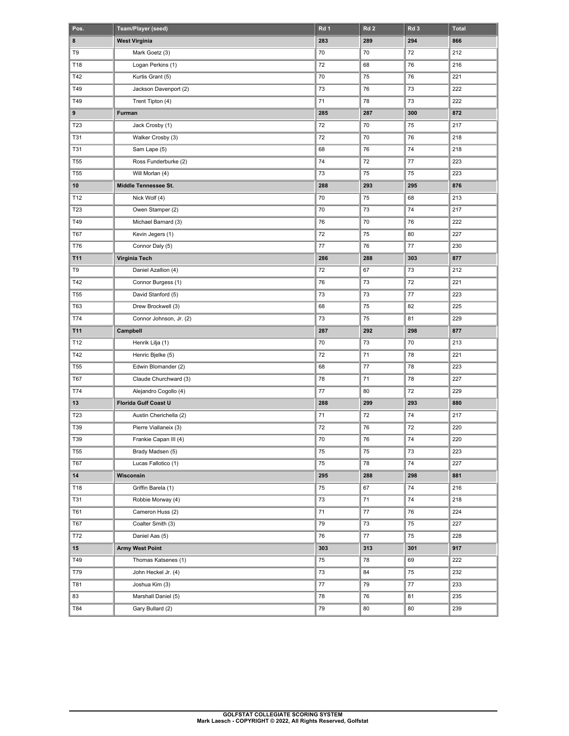| Pos.            | Team/Player (seed)      | Rd 1   | Rd <sub>2</sub> | Rd <sub>3</sub> | <b>Total</b> |
|-----------------|-------------------------|--------|-----------------|-----------------|--------------|
| 8               | <b>West Virginia</b>    | 283    | 289             | 294             | 866          |
| T9              | Mark Goetz (3)          | 70     | 70              | 72              | 212          |
| T18             | Logan Perkins (1)       | 72     | 68              | 76              | 216          |
| T42             | Kurtis Grant (5)        | 70     | 75              | 76              | 221          |
| T49             | Jackson Davenport (2)   | 73     | 76              | 73              | 222          |
| T49             | Trent Tipton (4)        | 71     | 78              | 73              | 222          |
| 9               | Furman                  | 285    | 287             | 300             | 872          |
| T23             | Jack Crosby (1)         | 72     | 70              | 75              | 217          |
| <b>T31</b>      | Walker Crosby (3)       | 72     | 70              | 76              | 218          |
| <b>T31</b>      | Sam Lape (5)            | 68     | 76              | 74              | 218          |
| <b>T55</b>      | Ross Funderburke (2)    | 74     | 72              | 77              | 223          |
| T <sub>55</sub> | Will Morlan (4)         | 73     | 75              | 75              | 223          |
| 10              | Middle Tennessee St.    | 288    | 293             | 295             | 876          |
| T12             | Nick Wolf (4)           | 70     | 75              | 68              | 213          |
| T23             | Owen Stamper (2)        | 70     | 73              | 74              | 217          |
| T49             | Michael Barnard (3)     | 76     | 70              | 76              | 222          |
| T67             | Kevin Jegers (1)        | 72     | 75              | 80              | 227          |
| T76             | Connor Daly (5)         | 77     | 76              | 77              | 230          |
| T11             | Virginia Tech           | 286    | 288             | 303             | 877          |
| T9              | Daniel Azallion (4)     | 72     | 67              | 73              | 212          |
| T42             | Connor Burgess (1)      | 76     | 73              | 72              | 221          |
| <b>T55</b>      | David Stanford (5)      | 73     | 73              | 77              | 223          |
| T63             | Drew Brockwell (3)      | 68     | 75              | 82              | 225          |
| T74             | Connor Johnson, Jr. (2) | 73     | 75              | 81              | 229          |
| T11             | Campbell                | 287    | 292             | 298             | 877          |
| T12             | Henrik Lilja (1)        | 70     | 73              | 70              | 213          |
| T42             | Henric Bjelke (5)       | 72     | 71              | 78              | 221          |
| <b>T55</b>      | Edwin Blomander (2)     | 68     | 77              | 78              | 223          |
| T67             | Claude Churchward (3)   | 78     | 71              | 78              | 227          |
| T74             | Alejandro Cogollo (4)   | 77     | 80              | 72              | 229          |
| 13              | Florida Gulf Coast U    | 288    | 299             | 293             | 880          |
| T23             | Austin Cherichella (2)  | 71     | 72              | 74              | 217          |
| T39             | Pierre Viallaneix (3)   | 72     | 76              | 72              | 220          |
| T39             | Frankie Capan III (4)   | $70\,$ | 76              | 74              | 220          |
| T <sub>55</sub> | Brady Madsen (5)        | 75     | 75              | 73              | 223          |
| <b>T67</b>      | Lucas Fallotico (1)     | 75     | 78              | 74              | 227          |
| ${\bf 14}$      | Wisconsin               | 295    | 288             | 298             | 881          |
| T18             | Griffin Barela (1)      | 75     | 67              | 74              | 216          |
| <b>T31</b>      | Robbie Morway (4)       | 73     | 71              | 74              | 218          |
| T61             | Cameron Huss (2)        | 71     | $77\,$          | 76              | 224          |
| <b>T67</b>      | Coalter Smith (3)       | 79     | 73              | 75              | 227          |
| T72             | Daniel Aas (5)          | 76     | $77\,$          | 75              | 228          |
| 15              | <b>Army West Point</b>  | 303    | 313             | 301             | 917          |
| T49             | Thomas Katsenes (1)     | 75     | 78              | 69              | 222          |
| T79             | John Heckel Jr. (4)     | 73     | 84              | 75              | 232          |
| T81             | Joshua Kim (3)          | 77     | 79              | 77              | 233          |
| 83              | Marshall Daniel (5)     | 78     | 76              | 81              | 235          |
| T84             | Gary Bullard (2)        | 79     | 80              | 80              | 239          |